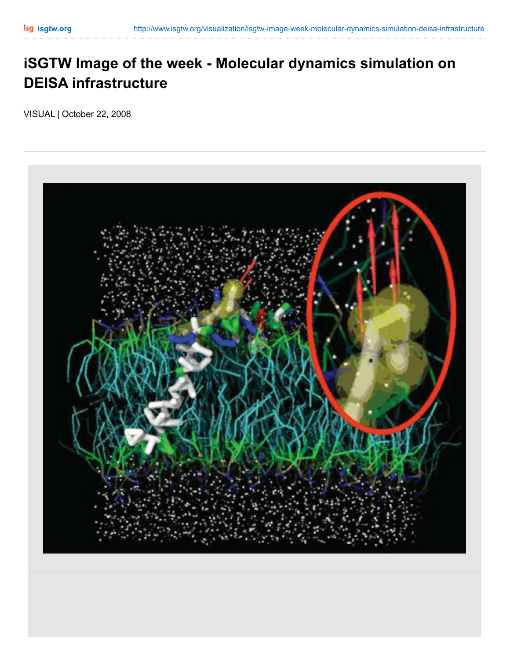## **iSGTW Image of the week - Molecular dynamics simulation on DEISA infrastructure**

VISUAL | October 22, 2008